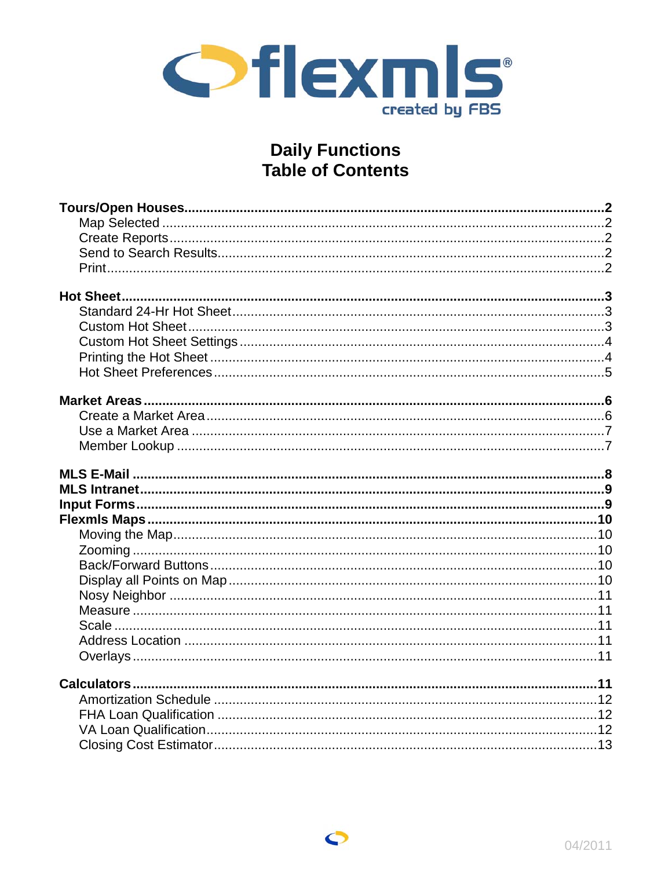

# **Daily Functions<br>Table of Contents**

 $\bullet$ 

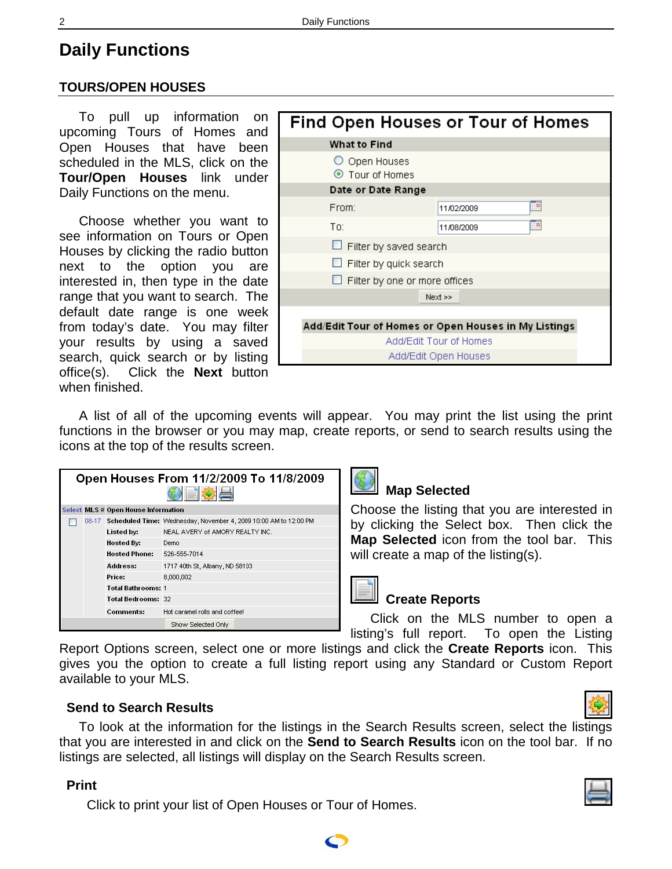# <span id="page-1-0"></span>**Daily Functions**

# **TOURS/OPEN HOUSES**

To pull up information on upcoming Tours of Homes and Open Houses that have been scheduled in the MLS, click on the **Tour/Open Houses** link under Daily Functions on the menu.

Choose whether you want to see information on Tours or Open Houses by clicking the radio button next to the option you are interested in, then type in the date range that you want to search. The default date range is one week from today's date. You may filter your results by using a saved search, quick search or by listing office(s). Click the **Next** button when finished.

| <b>What to Find</b><br>O Open Houses<br>⊙ Tour of Homes<br>Date or Date Range<br>₩<br>From:<br>11/02/2009<br>Ħ<br>To:<br>11/08/2009<br>Filter by saved search<br>Filter by quick search<br>Filter by one or more offices<br>Next >><br>Add/Edit Tour of Homes or Open Houses in My Listings |  | Find Open Houses or Tour of Homes |  |  |
|---------------------------------------------------------------------------------------------------------------------------------------------------------------------------------------------------------------------------------------------------------------------------------------------|--|-----------------------------------|--|--|
|                                                                                                                                                                                                                                                                                             |  |                                   |  |  |
|                                                                                                                                                                                                                                                                                             |  |                                   |  |  |
|                                                                                                                                                                                                                                                                                             |  |                                   |  |  |
|                                                                                                                                                                                                                                                                                             |  |                                   |  |  |
|                                                                                                                                                                                                                                                                                             |  |                                   |  |  |
|                                                                                                                                                                                                                                                                                             |  |                                   |  |  |
|                                                                                                                                                                                                                                                                                             |  |                                   |  |  |
|                                                                                                                                                                                                                                                                                             |  |                                   |  |  |
|                                                                                                                                                                                                                                                                                             |  |                                   |  |  |
|                                                                                                                                                                                                                                                                                             |  |                                   |  |  |
|                                                                                                                                                                                                                                                                                             |  |                                   |  |  |
| Add/Edit Tour of Homes                                                                                                                                                                                                                                                                      |  |                                   |  |  |
| Add/Edit Open Houses                                                                                                                                                                                                                                                                        |  |                                   |  |  |

A list of all of the upcoming events will appear. You may print the list using the print functions in the browser or you may map, create reports, or send to search results using the icons at the top of the results screen.

| Open Houses From 11/2/2009 To 11/8/2009 |                           |                                                                        |  |  |
|-----------------------------------------|---------------------------|------------------------------------------------------------------------|--|--|
| Select MLS # Open House Information     |                           |                                                                        |  |  |
|                                         |                           | 08-17 Scheduled Time: Wednesday, November 4, 2009 10:00 AM to 12:00 PM |  |  |
|                                         | Listed by:                | NEAL AVERY of AMORY REALTY INC.                                        |  |  |
|                                         | Hosted By:                | Demo                                                                   |  |  |
|                                         | Hosted Phone:             | 526-555-7014                                                           |  |  |
|                                         | Address:                  | 1717 40th St, Albany, ND 58103                                         |  |  |
|                                         | Price:                    | 8,000,002                                                              |  |  |
|                                         | <b>Total Bathrooms: 1</b> |                                                                        |  |  |
|                                         | <b>Total Bedrooms: 32</b> |                                                                        |  |  |
|                                         | <b>Comments:</b>          | Hot caramel rolls and coffee!                                          |  |  |
|                                         |                           | Show Selected Only                                                     |  |  |



# **Map Selected**

Choose the listing that you are interested in by clicking the Select box. Then click the **Map Selected** icon from the tool bar. This will create a map of the listing(s).

# **Create Reports**

Click on the MLS number to open a listing's full report. To open the Listing

Report Options screen, select one or more listings and click the **Create Reports** icon. This gives you the option to create a full listing report using any Standard or Custom Report available to your MLS.

#### **Send to Search Results**

To look at the information for the listings in the Search Results screen, select the listings that you are interested in and click on the **Send to Search Results** icon on the tool bar. If no listings are selected, all listings will display on the Search Results screen.

#### **Print**

Click to print your list of Open Houses or Tour of Homes.



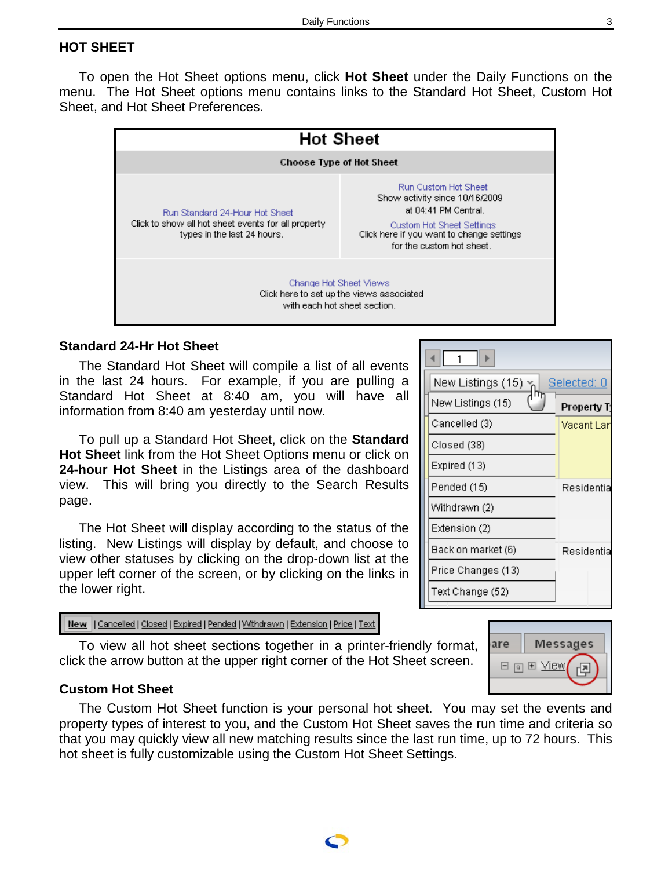# <span id="page-2-0"></span>**HOT SHEET**

To open the Hot Sheet options menu, click **Hot Sheet** under the Daily Functions on the menu. The Hot Sheet options menu contains links to the Standard Hot Sheet, Custom Hot Sheet, and Hot Sheet Preferences.

|                                                                                                                      | <b>Hot Sheet</b>                                                                                                                                                                                    |  |  |
|----------------------------------------------------------------------------------------------------------------------|-----------------------------------------------------------------------------------------------------------------------------------------------------------------------------------------------------|--|--|
| Choose Type of Hot Sheet                                                                                             |                                                                                                                                                                                                     |  |  |
| Run Standard 24-Hour Hot Sheet<br>Click to show all hot sheet events for all property<br>types in the last 24 hours. | <b>Run Custom Hot Sheet</b><br>Show activity since 10/16/2009<br>at 04:41 PM Central.<br><b>Custom Hot Sheet Settings</b><br>Click here if you want to change settings<br>for the custom hot sheet. |  |  |
|                                                                                                                      | Change Hot Sheet Views<br>Click here to set up the views associated<br>with each hot sheet section.                                                                                                 |  |  |

#### **Standard 24-Hr Hot Sheet**

The Standard Hot Sheet will compile a list of all events in the last 24 hours. For example, if you are pulling a Standard Hot Sheet at 8:40 am, you will have all information from 8:40 am yesterday until now.

To pull up a Standard Hot Sheet, click on the **Standard Hot Sheet** link from the Hot Sheet Options menu or click on **24-hour Hot Sheet** in the Listings area of the dashboard view. This will bring you directly to the Search Results page.

The Hot Sheet will display according to the status of the listing. New Listings will display by default, and choose to view other statuses by clicking on the drop-down list at the upper left corner of the screen, or by clicking on the links in the lower right.

New || Cancelled | Closed | Expired | Pended | Withdrawn | Extension | Price | Text

To view all hot sheet sections together in a printer-friendly format, click the arrow button at the upper right corner of the Hot Sheet screen.

#### $\overline{1}$  $\mathbf{E}$ ◂∥ New Listings (15)  $\times$ Selected: 0 New Listings (15) **Property T** Cancelled (3) Vacant Lan Closed (38) Expired (13) Pended (15) Residentia Withdrawn (2) Extension (2) Back on market (6) Residentia Price Changes (13) Text Change (52)



#### **Custom Hot Sheet**

The Custom Hot Sheet function is your personal hot sheet. You may set the events and property types of interest to you, and the Custom Hot Sheet saves the run time and criteria so that you may quickly view all new matching results since the last run time, up to 72 hours. This hot sheet is fully customizable using the Custom Hot Sheet Settings.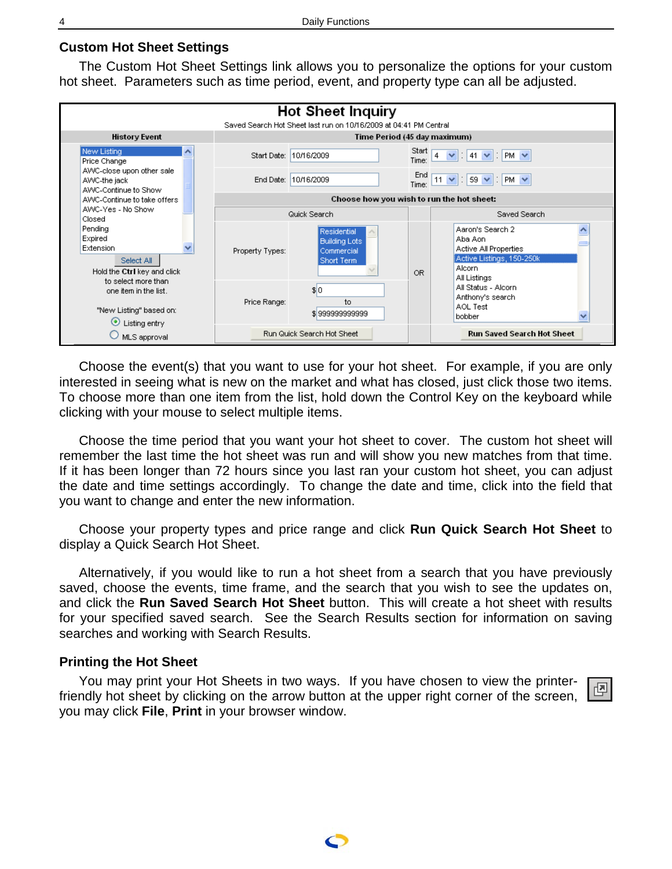#### <span id="page-3-0"></span>**Custom Hot Sheet Settings**

The Custom Hot Sheet Settings link allows you to personalize the options for your custom hot sheet. Parameters such as time period, event, and property type can all be adjusted.



Choose the event(s) that you want to use for your hot sheet. For example, if you are only interested in seeing what is new on the market and what has closed, just click those two items. To choose more than one item from the list, hold down the Control Key on the keyboard while clicking with your mouse to select multiple items.

Choose the time period that you want your hot sheet to cover. The custom hot sheet will remember the last time the hot sheet was run and will show you new matches from that time. If it has been longer than 72 hours since you last ran your custom hot sheet, you can adjust the date and time settings accordingly. To change the date and time, click into the field that you want to change and enter the new information.

Choose your property types and price range and click **Run Quick Search Hot Sheet** to display a Quick Search Hot Sheet.

Alternatively, if you would like to run a hot sheet from a search that you have previously saved, choose the events, time frame, and the search that you wish to see the updates on, and click the **Run Saved Search Hot Sheet** button. This will create a hot sheet with results for your specified saved search. See the Search Results section for information on saving searches and working with Search Results.

#### **Printing the Hot Sheet**

You may print your Hot Sheets in two ways. If you have chosen to view the printerfriendly hot sheet by clicking on the arrow button at the upper right corner of the screen, you may click **File**, **Print** in your browser window.

|--|

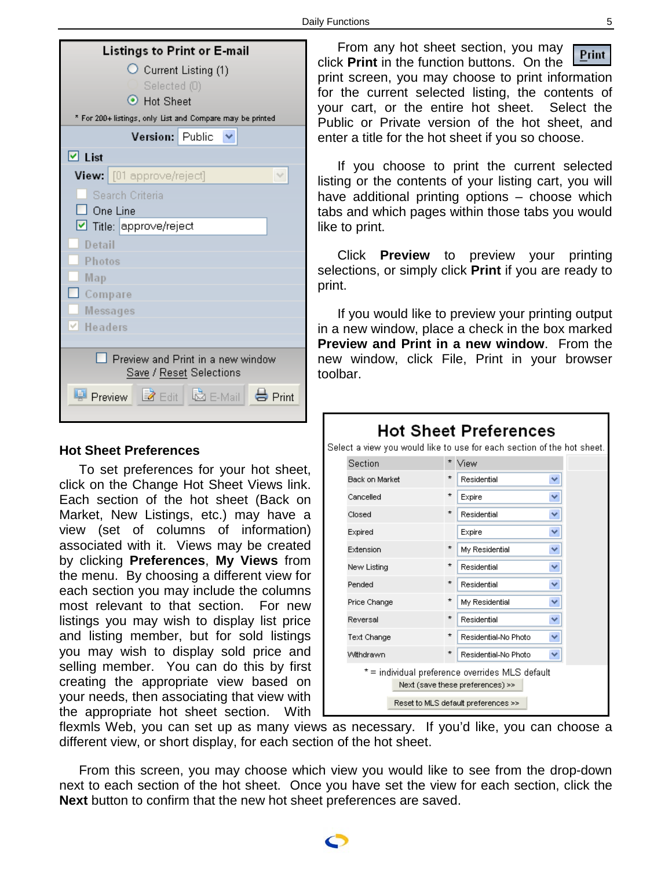<span id="page-4-0"></span>

| Listings to Print or E-mail                                  |  |  |
|--------------------------------------------------------------|--|--|
| $\circlearrowright$ Current Listing (1)                      |  |  |
| Selected (0)                                                 |  |  |
| ⊙ Hot Sheet                                                  |  |  |
| * For 200+ listings, only List and Compare may be printed    |  |  |
| Version: Public $\vee$                                       |  |  |
| $\boxdot$ List                                               |  |  |
| <b>View:</b> $[01$ approve/reject]<br>v                      |  |  |
| Search Criteria                                              |  |  |
| One Line                                                     |  |  |
| Title: approve/reject                                        |  |  |
| Detail                                                       |  |  |
| Photos                                                       |  |  |
| Map                                                          |  |  |
| Compare                                                      |  |  |
| Messages                                                     |  |  |
| $\vee$ Headers                                               |  |  |
|                                                              |  |  |
| Preview and Print in a new window<br>Save / Reset Selections |  |  |
| Preview <b>Z</b> Edit<br>I Mail Ho Print                     |  |  |

#### **Hot Sheet Preferences**

To set preferences for your hot sheet, click on the Change Hot Sheet Views link. Each section of the hot sheet (Back on Market, New Listings, etc.) may have a view (set of columns of information) associated with it. Views may be created by clicking **Preferences**, **My Views** from the menu. By choosing a different view for each section you may include the columns most relevant to that section. For new listings you may wish to display list price and listing member, but for sold listings you may wish to display sold price and selling member. You can do this by first creating the appropriate view based on your needs, then associating that view with the appropriate hot sheet section. With

From any hot sheet section, you may Print click **Print** in the function buttons. On the print screen, you may choose to print information for the current selected listing, the contents of your cart, or the entire hot sheet. Select the Public or Private version of the hot sheet, and enter a title for the hot sheet if you so choose.

If you choose to print the current selected listing or the contents of your listing cart, you will have additional printing options – choose which tabs and which pages within those tabs you would like to print.

Click **Preview** to preview your printing selections, or simply click **Print** if you are ready to print.

If you would like to preview your printing output in a new window, place a check in the box marked **Preview and Print in a new window**. From the new window, click File, Print in your browser toolbar.



flexmls Web, you can set up as many views as necessary. If you'd like, you can choose a different view, or short display, for each section of the hot sheet.

From this screen, you may choose which view you would like to see from the drop-down next to each section of the hot sheet. Once you have set the view for each section, click the **Next** button to confirm that the new hot sheet preferences are saved.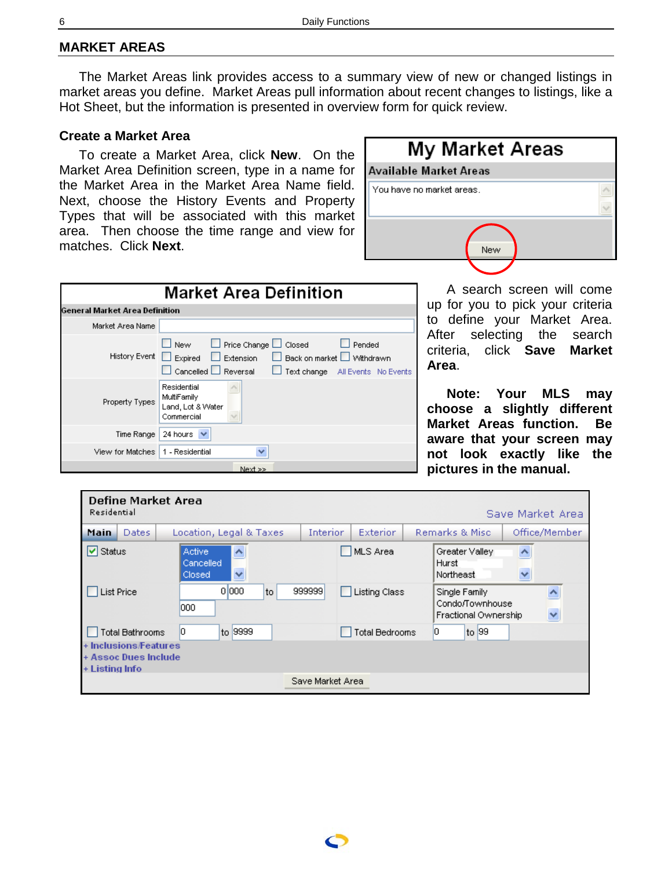#### <span id="page-5-0"></span>**MARKET AREAS**

The Market Areas link provides access to a summary view of new or changed listings in market areas you define. Market Areas pull information about recent changes to listings, like a Hot Sheet, but the information is presented in overview form for quick review.

#### **Create a Market Area**

To create a Market Area, click **New**. On the Market Area Definition screen, type in a name for the Market Area in the Market Area Name field. Next, choose the History Events and Property Types that will be associated with this market area. Then choose the time range and view for matches. Click **Next**.

| <b>My Market Areas</b>    |  |
|---------------------------|--|
| Available Market Areas    |  |
| You have no market areas. |  |
| New                       |  |

|                                | <b>Market Area Definition</b>                                                                                                                                              |
|--------------------------------|----------------------------------------------------------------------------------------------------------------------------------------------------------------------------|
| General Market Area Definition |                                                                                                                                                                            |
| Market Area Name               |                                                                                                                                                                            |
| History Event Expired          | Price Change Lui Closed<br>$\square$ New<br>Pended<br>□ Back on market □ Withdrawn<br>$\Box$ Extension<br>Cancelled Reversal<br>Text change All Events No Events<br>$\Box$ |
| Property Types                 | Residential<br>MultiFamily<br>Land, Lot & Water<br>Commercial                                                                                                              |
| Time Range                     | 24 hours                                                                                                                                                                   |
| View for Matches               | 1 - Residential<br>v                                                                                                                                                       |
|                                | Next >>                                                                                                                                                                    |

A search screen will come up for you to pick your criteria to define your Market Area. After selecting the search criteria, click **Save Market Area**.

**Note: Your MLS may choose a slightly different Market Areas function. Be aware that your screen may not look exactly like the pictures in the manual.**

| Define Market Area<br>Residential                               |                                                                  |                  |                       |                                                          | Save Market Area |
|-----------------------------------------------------------------|------------------------------------------------------------------|------------------|-----------------------|----------------------------------------------------------|------------------|
| <b>Dates</b><br>Main                                            | Location, Legal & Taxes                                          | <b>Interior</b>  | <b>Exterior</b>       | Remarks & Misc.                                          | Office/Member    |
| $\triangledown$ Status                                          | <b>Active</b><br>$\hat{\phantom{1}}$<br>Cancelled<br>v<br>Closed |                  | MLS Area              | Greater Valley<br>Hurst<br>Northeast                     | Ą<br>v           |
| <b>List Price</b>                                               | 0 000<br>to<br>000                                               | 999999           | <b>Listing Class</b>  | Single Family<br>Condo/Townhouse<br>Fractional Ownership | ۸                |
| <b>Total Bathrooms</b>                                          | 10<br>to 9999                                                    |                  | <b>Total Bedrooms</b> | O,<br>to 99                                              |                  |
| + Inclusions/Features<br>+ Assoc Dues Include<br>+ Listing Info |                                                                  |                  |                       |                                                          |                  |
|                                                                 |                                                                  | Save Market Area |                       |                                                          |                  |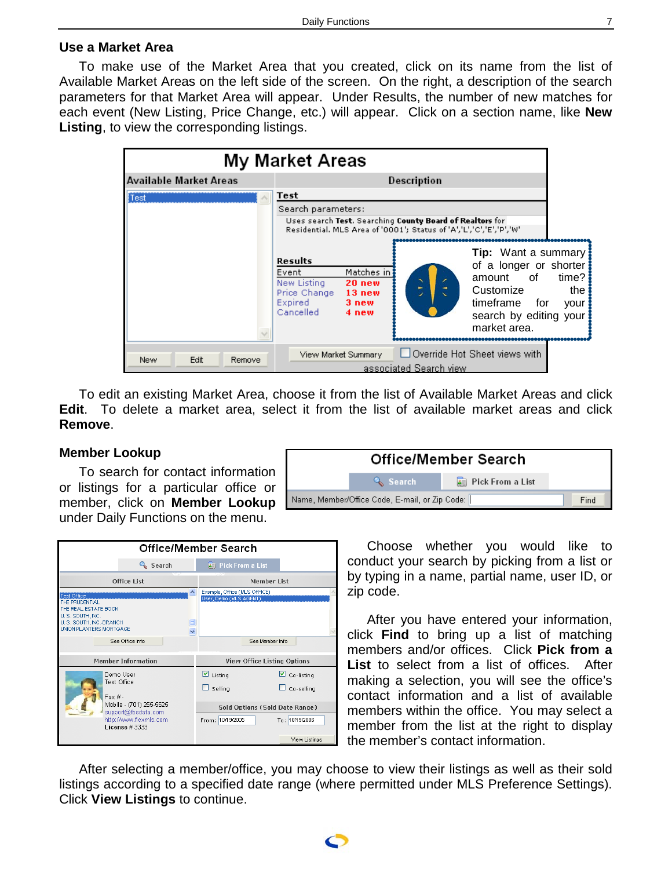# <span id="page-6-0"></span>**Use a Market Area**

To make use of the Market Area that you created, click on its name from the list of Available Market Areas on the left side of the screen. On the right, a description of the search parameters for that Market Area will appear. Under Results, the number of new matches for each event (New Listing, Price Change, etc.) will appear. Click on a section name, like **New Listing**, to view the corresponding listings.



To edit an existing Market Area, choose it from the list of Available Market Areas and click **Edit**. To delete a market area, select it from the list of available market areas and click **Remove**.

#### **Member Lookup**

To search for contact information or listings for a particular office or member, click on **Member Lookup** under Daily Functions on the menu.

|                                                                                                                                                |                           | Office/Member Search                                   |                                                   |  |
|------------------------------------------------------------------------------------------------------------------------------------------------|---------------------------|--------------------------------------------------------|---------------------------------------------------|--|
|                                                                                                                                                | Search                    | <b>8 Pick From a List</b>                              |                                                   |  |
|                                                                                                                                                | Office List               | Member List                                            |                                                   |  |
| <b>Test Office</b><br>THE PRUDENTIAL<br>THE REAL ESTATE BOOK<br>U.S. SOUTH, INC.<br>U. S. SOUTH, INC.-BRANCH<br><b>UNION PLANTERS MORTGAGE</b> | $\ddot{\mathbf{v}}$       | Example, Office (MLS OFFICE)<br>User, Demo (MLS AGENT) |                                                   |  |
|                                                                                                                                                | See Office Info           | See Member Info.                                       |                                                   |  |
|                                                                                                                                                | <b>Member Information</b> | <b>View Office Listing Options</b>                     |                                                   |  |
| Fax#                                                                                                                                           | Demo User<br>Test Office  | $\blacksquare$ Listing<br>Selling                      | $\vert \mathbf{v} \vert$ Co-listing<br>Co-selling |  |
| Mobile - (701) 255-5525<br>support@fbsdata.com<br>http://www.flexmls.com<br>License # 3333                                                     |                           | Sold Options (Sold Date Range)                         |                                                   |  |
|                                                                                                                                                |                           | From: 10/19/2005                                       | To: 10/19/2006                                    |  |
|                                                                                                                                                |                           |                                                        | View Listinas                                     |  |



Choose whether you would like to conduct your search by picking from a list or by typing in a name, partial name, user ID, or zip code.

After you have entered your information, click **Find** to bring up a list of matching members and/or offices. Click **Pick from a List** to select from a list of offices. After making a selection, you will see the office's contact information and a list of available members within the office. You may select a member from the list at the right to display the member's contact information.

After selecting a member/office, you may choose to view their listings as well as their sold listings according to a specified date range (where permitted under MLS Preference Settings). Click **View Listings** to continue.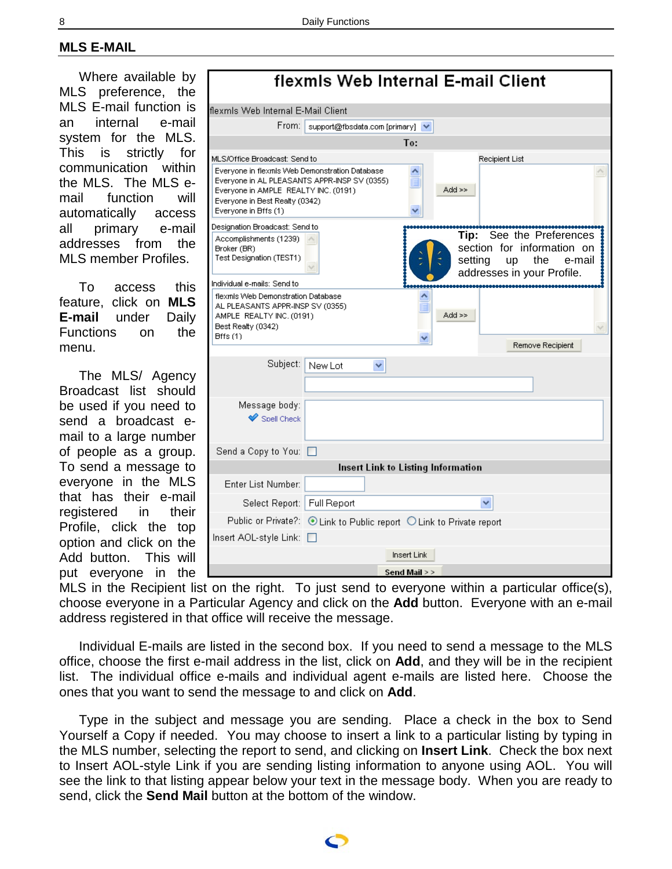# <span id="page-7-0"></span>**MLS E-MAIL**

Where available by MLS preference, the MLS E-mail function is an internal e-mail system for the MLS. This is strictly for communication within the MLS. The MLS email function will automatically access all primary e-mail addresses from the MLS member Profiles.

To access this feature, click on **MLS E-mail** under Daily Functions on the menu.

The MLS/ Agency Broadcast list should be used if you need to send a broadcast email to a large number of people as a group. To send a message to everyone in the MLS that has their e-mail registered in their Profile, click the top option and click on the Add button. This will put everyone in the

|                                                                                                                                                                                                  | flexmls Web Internal E-mail Client                                   |                    |                 |                                                                                                        |
|--------------------------------------------------------------------------------------------------------------------------------------------------------------------------------------------------|----------------------------------------------------------------------|--------------------|-----------------|--------------------------------------------------------------------------------------------------------|
| flexmis Web Internal E-Mail Client                                                                                                                                                               |                                                                      |                    |                 |                                                                                                        |
| From: I                                                                                                                                                                                          | support@fbsdata.com [primary] V                                      |                    |                 |                                                                                                        |
|                                                                                                                                                                                                  |                                                                      | To:                |                 |                                                                                                        |
| MLS/Office Broadcast: Send to                                                                                                                                                                    |                                                                      |                    |                 | Recipient List                                                                                         |
| Everyone in flexmls Web Demonstration Database<br>Everyone in AL PLEASANTS APPR-INSP SV (0355)<br>Everyone in AMPLE REALTY INC. (0191)<br>Everyone in Best Realty (0342)<br>Everyone in Bffs (1) |                                                                      | ₩                  | $Add \gg$       |                                                                                                        |
| Designation Broadcast: Send to                                                                                                                                                                   |                                                                      |                    |                 |                                                                                                        |
| Accomplishments (1239)<br>Broker (BR)<br>Test Designation (TEST1)                                                                                                                                |                                                                      |                    | Tip:<br>setting | See the Preferences<br>section for information on<br>the<br>up<br>e-mail<br>addresses in your Profile. |
| Individual e-mails: Send to<br>flexinls Web Demonstration Database                                                                                                                               |                                                                      |                    |                 |                                                                                                        |
| AL PLEASANTS APPR-INSP SV (0355)<br>AMPLE REALTY INC. (0191)<br>Best Realty (0342)<br>$B$ ff $s(1)$                                                                                              |                                                                      |                    | Add >>          | Remove Recipient                                                                                       |
|                                                                                                                                                                                                  |                                                                      |                    |                 |                                                                                                        |
| Subject:                                                                                                                                                                                         | New Lot<br>v                                                         |                    |                 |                                                                                                        |
| Message body:<br>$\blacktriangleright$ Snell Check                                                                                                                                               |                                                                      |                    |                 |                                                                                                        |
| Send a Copy to You: $\Box$                                                                                                                                                                       |                                                                      |                    |                 |                                                                                                        |
|                                                                                                                                                                                                  | Insert Link to Listing Information                                   |                    |                 |                                                                                                        |
| Enter List Number:                                                                                                                                                                               |                                                                      |                    |                 |                                                                                                        |
| Select Report: Full Report                                                                                                                                                                       |                                                                      |                    |                 |                                                                                                        |
|                                                                                                                                                                                                  | Public or Private?: © Link to Public report O Link to Private report |                    |                 |                                                                                                        |
| Insert AOL-style Link:                                                                                                                                                                           |                                                                      |                    |                 |                                                                                                        |
|                                                                                                                                                                                                  |                                                                      | <b>Insert Link</b> |                 |                                                                                                        |
|                                                                                                                                                                                                  |                                                                      | Send Mail > >      |                 |                                                                                                        |

MLS in the Recipient list on the right. To just send to everyone within a particular office(s), choose everyone in a Particular Agency and click on the **Add** button. Everyone with an e-mail address registered in that office will receive the message.

Individual E-mails are listed in the second box. If you need to send a message to the MLS office, choose the first e-mail address in the list, click on **Add**, and they will be in the recipient list. The individual office e-mails and individual agent e-mails are listed here. Choose the ones that you want to send the message to and click on **Add**.

Type in the subject and message you are sending. Place a check in the box to Send Yourself a Copy if needed. You may choose to insert a link to a particular listing by typing in the MLS number, selecting the report to send, and clicking on **Insert Link**. Check the box next to Insert AOL-style Link if you are sending listing information to anyone using AOL. You will see the link to that listing appear below your text in the message body. When you are ready to send, click the **Send Mail** button at the bottom of the window.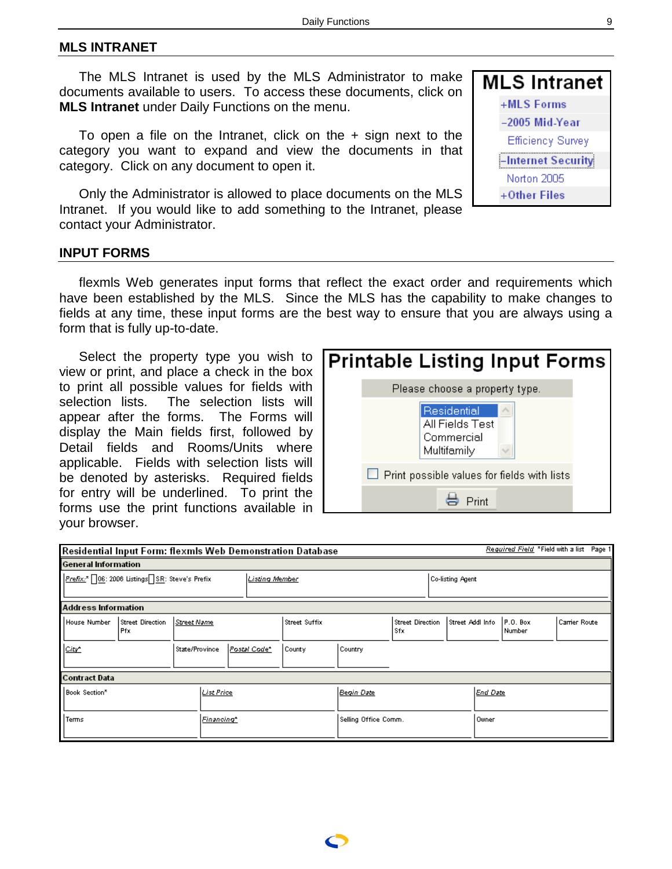#### <span id="page-8-0"></span>**MLS INTRANET**

The MLS Intranet is used by the MLS Administrator to make documents available to users. To access these documents, click on **MLS Intranet** under Daily Functions on the menu.

To open a file on the Intranet, click on the + sign next to the category you want to expand and view the documents in that category. Click on any document to open it.

Only the Administrator is allowed to place documents on the MLS Intranet. If you would like to add something to the Intranet, please contact your Administrator.

| MLS Intranet       |
|--------------------|
| +MLS Forms         |
| -2005 Mid-Year     |
| Efficiency Survey  |
| -Internet Security |
| Norton 2005        |
| +Other Files       |

#### **INPUT FORMS**

flexmls Web generates input forms that reflect the exact order and requirements which have been established by the MLS. Since the MLS has the capability to make changes to fields at any time, these input forms are the best way to ensure that you are always using a form that is fully up-to-date.

Select the property type you wish to view or print, and place a check in the box to print all possible values for fields with selection lists. The selection lists will appear after the forms. The Forms will display the Main fields first, followed by Detail fields and Rooms/Units where applicable. Fields with selection lists will be denoted by asterisks. Required fields for entry will be underlined. To print the forms use the print functions available in your browser.



| Required Field *Field with a list Page 1<br>Residential Input Form: flexmls Web Demonstration Database |                          |                                |  |                       |                      |         |                                |                         |                  |                      |               |  |
|--------------------------------------------------------------------------------------------------------|--------------------------|--------------------------------|--|-----------------------|----------------------|---------|--------------------------------|-------------------------|------------------|----------------------|---------------|--|
| <b>General Information</b>                                                                             |                          |                                |  |                       |                      |         |                                |                         |                  |                      |               |  |
| Prefix:* 06: 2006 Listings SR: Steve's Prefix                                                          |                          |                                |  | <b>Listing Member</b> |                      |         |                                | <b>Co-listing Agent</b> |                  |                      |               |  |
| <b>Address Information</b>                                                                             |                          |                                |  |                       |                      |         |                                |                         |                  |                      |               |  |
| House Number                                                                                           | Street Direction<br>Pfx. | Street Name                    |  |                       | <b>Street Suffix</b> |         | <b>Street Direction</b><br>Sfx |                         | Street Addl Info | $P.0.$ Box<br>Number | Carrier Route |  |
| City*                                                                                                  |                          | State/Province<br>Postal Code* |  |                       | County               | Country |                                |                         |                  |                      |               |  |
| <b>Contract Data</b>                                                                                   |                          |                                |  |                       |                      |         |                                |                         |                  |                      |               |  |
| <b>List Price</b><br>Book Section <sup>®</sup>                                                         |                          |                                |  | Begin Date            |                      |         | End Date                       |                         |                  |                      |               |  |
| Terms<br>Financing*                                                                                    |                          |                                |  | Selling Office Comm.  |                      |         | Owner                          |                         |                  |                      |               |  |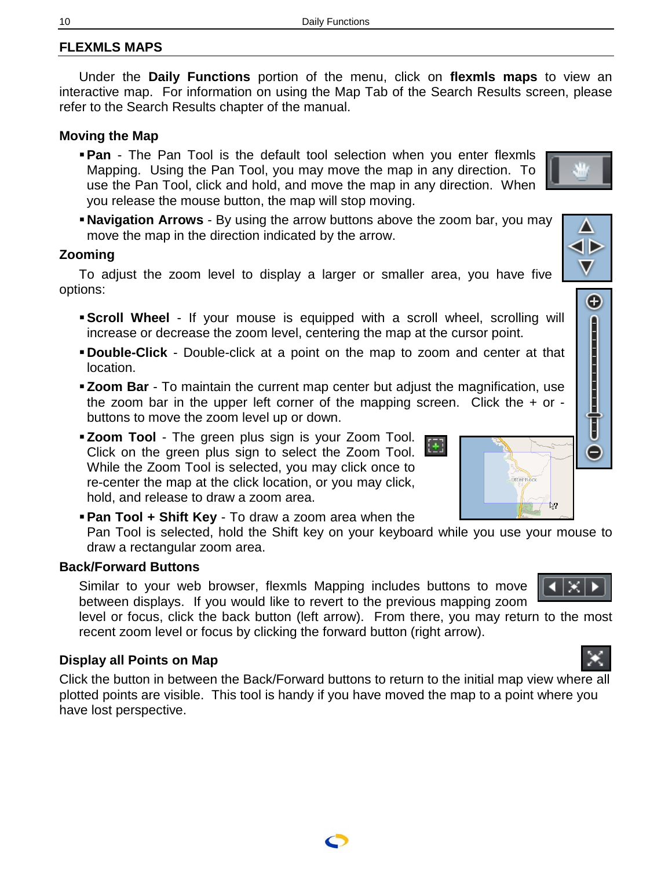# <span id="page-9-0"></span>**FLEXMLS MAPS**

Under the **Daily Functions** portion of the menu, click on **flexmls maps** to view an interactive map. For information on using the Map Tab of the Search Results screen, please refer to the Search Results chapter of the manual.

# **Moving the Map**

- **Pan** The Pan Tool is the default tool selection when you enter flexmls Mapping. Using the Pan Tool, you may move the map in any direction. To use the Pan Tool, click and hold, and move the map in any direction. When you release the mouse button, the map will stop moving.
- **Navigation Arrows** By using the arrow buttons above the zoom bar, you may move the map in the direction indicated by the arrow.

## **Zooming**

To adjust the zoom level to display a larger or smaller area, you have five options:

- **Scroll Wheel** If your mouse is equipped with a scroll wheel, scrolling will increase or decrease the zoom level, centering the map at the cursor point.
- **Double-Click** Double-click at a point on the map to zoom and center at that location.
- **Zoom Bar** To maintain the current map center but adjust the magnification, use the zoom bar in the upper left corner of the mapping screen. Click the  $+$  or buttons to move the zoom level up or down.
- **Zoom Tool** The green plus sign is your Zoom Tool. Click on the green plus sign to select the Zoom Tool. While the Zoom Tool is selected, you may click once to re-center the map at the click location, or you may click, hold, and release to draw a zoom area.
- **Pan Tool + Shift Key** To draw a zoom area when the

Pan Tool is selected, hold the Shift key on your keyboard while you use your mouse to draw a rectangular zoom area.

# **Back/Forward Buttons**

Similar to your web browser, flexmls Mapping includes buttons to move between displays. If you would like to revert to the previous mapping zoom

level or focus, click the back button (left arrow). From there, you may return to the most recent zoom level or focus by clicking the forward button (right arrow).

# **Display all Points on Map**

Click the button in between the Back/Forward buttons to return to the initial map view where all plotted points are visible. This tool is handy if you have moved the map to a point where you have lost perspective.

$$
\frac{1}{2}
$$

⊿⊺छ⊺





Θ

E



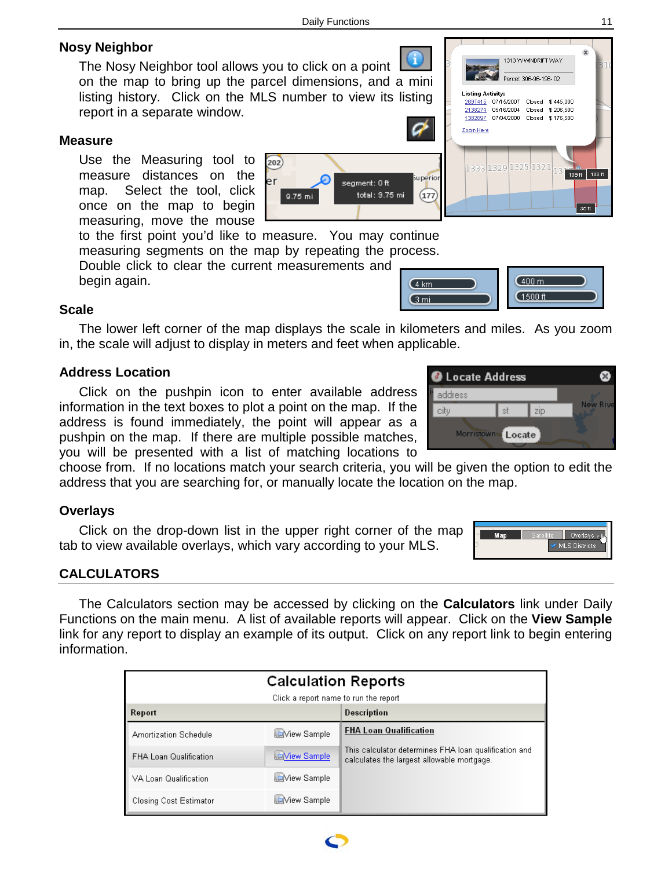# <span id="page-10-0"></span>**Nosy Neighbor**

The Nosy Neighbor tool allows you to click on a point on the map to bring up the parcel dimensions, and a mini listing history. Click on the MLS number to view its listing report in a separate window.

## **Measure**

Use the Measuring tool to measure distances on the map. Select the tool, click once on the map to begin measuring, move the mouse

to the first point you'd like to measure. You may continue measuring segments on the map by repeating the process.

Double click to clear the current measurements and begin again.

## **Scale**

The lower left corner of the map displays the scale in kilometers and miles. As you zoom in, the scale will adjust to display in meters and feet when applicable.

# **Address Location**

Click on the pushpin icon to enter available address information in the text boxes to plot a point on the map. If the address is found immediately, the point will appear as a pushpin on the map. If there are multiple possible matches, you will be presented with a list of matching locations to

choose from. If no locations match your search criteria, you will be given the option to edit the address that you are searching for, or manually locate the location on the map.

# **Overlays**

Click on the drop-down list in the upper right corner of the map tab to view available overlays, which vary according to your MLS.

# **CALCULATORS**

The Calculators section may be accessed by clicking on the **Calculators** link under Daily Functions on the main menu. A list of available reports will appear. Click on the **View Sample** link for any report to display an example of its output. Click on any report link to begin entering information.

| <b>Calculation Reports</b>            |                    |                                                                                                     |  |  |  |  |
|---------------------------------------|--------------------|-----------------------------------------------------------------------------------------------------|--|--|--|--|
| Click a report name to run the report |                    |                                                                                                     |  |  |  |  |
| Report                                |                    | Description                                                                                         |  |  |  |  |
| Amortization Schedule                 | <b>Niew Sample</b> | <b>FHA Loan Qualification</b>                                                                       |  |  |  |  |
| <b>FHA Loan Qualification</b>         | <b>Niew Sample</b> | This calculator determines FHA loan qualification and<br>calculates the largest allowable mortgage. |  |  |  |  |
| VA Loan Qualification                 | Wiew Sample        |                                                                                                     |  |  |  |  |
| <b>Closing Cost Estimator</b>         | Wiew Sample        |                                                                                                     |  |  |  |  |



 $(4 \text{ km})$ 

 $\sqrt{3}$  mi



 $(400 m)$ 

 $(1500 ft)$ 





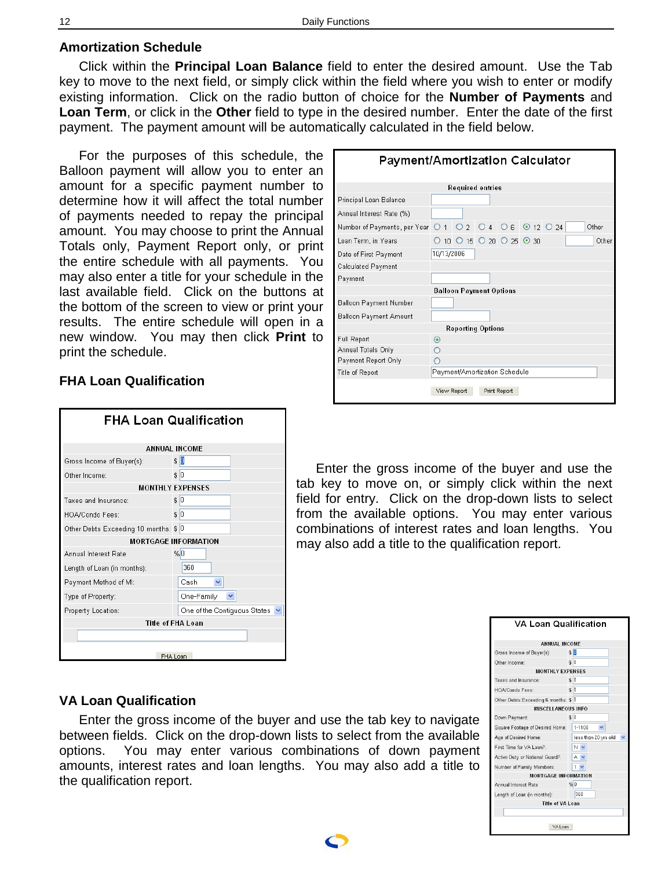#### <span id="page-11-0"></span>**Amortization Schedule**

Click within the **Principal Loan Balance** field to enter the desired amount. Use the Tab key to move to the next field, or simply click within the field where you wish to enter or modify existing information. Click on the radio button of choice for the **Number of Payments** and **Loan Term**, or click in the **Other** field to type in the desired number. Enter the date of the first payment. The payment amount will be automatically calculated in the field below.

For the purposes of this schedule, the Balloon payment will allow you to enter an amount for a specific payment number to determine how it will affect the total number of payments needed to repay the principal amount. You may choose to print the Annual Totals only, Payment Report only, or print the entire schedule with all payments. You may also enter a title for your schedule in the last available field. Click on the buttons at the bottom of the screen to view or print your results. The entire schedule will open in a new window. You may then click **Print** to print the schedule.

| <b>Payment/Amortization Calculator</b>                             |                          |                               |  |              |  |  |  |       |
|--------------------------------------------------------------------|--------------------------|-------------------------------|--|--------------|--|--|--|-------|
| Required entries                                                   |                          |                               |  |              |  |  |  |       |
| Principal Loan Balance                                             |                          |                               |  |              |  |  |  |       |
| Annual Interest Rate (%)                                           |                          |                               |  |              |  |  |  |       |
| Number of Payments, per Year   0 1   0 2   0 4   0 6   0 12   0 24 |                          |                               |  |              |  |  |  | Other |
| Loan Term, in Years                                                |                          | $0$ 10 0 15 0 20 0 25 0 30    |  |              |  |  |  | Other |
| Date of First Payment                                              | 10/13/2006               |                               |  |              |  |  |  |       |
| Calculated Payment                                                 |                          |                               |  |              |  |  |  |       |
| Payment                                                            |                          |                               |  |              |  |  |  |       |
| <b>Balloon Payment Options</b>                                     |                          |                               |  |              |  |  |  |       |
| Balloon Payment Number                                             |                          |                               |  |              |  |  |  |       |
| Balloon Payment Amount                                             |                          |                               |  |              |  |  |  |       |
|                                                                    | <b>Reporting Options</b> |                               |  |              |  |  |  |       |
| Full Report                                                        | $\circledast$            |                               |  |              |  |  |  |       |
| Annual Totals Only                                                 |                          |                               |  |              |  |  |  |       |
| Payment Report Only                                                |                          |                               |  |              |  |  |  |       |
| Title of Report                                                    |                          | Payment/Amortization Schedule |  |              |  |  |  |       |
|                                                                    |                          | View Report                   |  | Print Report |  |  |  |       |

#### **FHA Loan Qualification**

| <b>FHA Loan Qualification</b>         |                              |  |  |  |  |  |
|---------------------------------------|------------------------------|--|--|--|--|--|
| <b>ANNUAL INCOME</b>                  |                              |  |  |  |  |  |
| Gross Income of Buyer(s):             | \$ 0                         |  |  |  |  |  |
| Other Income:                         | s 0                          |  |  |  |  |  |
| <b>MONTHLY EXPENSES</b>               |                              |  |  |  |  |  |
| Taxes and Insurance:                  | \$10                         |  |  |  |  |  |
| HOA/Condo Fees:                       | \$10                         |  |  |  |  |  |
| Other Debts Exceeding 10 months: \$ 0 |                              |  |  |  |  |  |
| <b>MORTGAGE INFORMATION</b>           |                              |  |  |  |  |  |
| Annual Interest Rate                  | %0                           |  |  |  |  |  |
| Length of Loan (in months):           | 360                          |  |  |  |  |  |
| Payment Method of MI:                 | Cash<br>v                    |  |  |  |  |  |
| Type of Property:                     | One-Family<br>v              |  |  |  |  |  |
| Property Location:                    | One of the Contiguous States |  |  |  |  |  |
| <b>Title of FHA Loan</b>              |                              |  |  |  |  |  |
|                                       |                              |  |  |  |  |  |
| FHA Loan                              |                              |  |  |  |  |  |

Enter the gross income of the buyer and use the tab key to move on, or simply click within the next field for entry. Click on the drop-down lists to select from the available options. You may enter various combinations of interest rates and loan lengths. You may also add a title to the qualification report.

#### **VA Loan Qualification**

Enter the gross income of the buyer and use the tab key to navigate between fields. Click on the drop-down lists to select from the available options. You may enter various combinations of down payment amounts, interest rates and loan lengths. You may also add a title to the qualification report.

| <b>VA Loan Qualification</b>         |                        |  |  |  |  |  |  |
|--------------------------------------|------------------------|--|--|--|--|--|--|
| <b>ANNUAL INCOME</b>                 |                        |  |  |  |  |  |  |
| Gross Income of Buyer(s):            | s D                    |  |  |  |  |  |  |
| Other Income:                        | s <sub>0</sub>         |  |  |  |  |  |  |
| <b>MONTHLY EXPENSES</b>              |                        |  |  |  |  |  |  |
| Taxes and Insurance:                 | \$10                   |  |  |  |  |  |  |
| HOA/Condo Fees:                      | \$0                    |  |  |  |  |  |  |
| Other Debts Exceeding 6 months: \$ 0 |                        |  |  |  |  |  |  |
| <b>MISCELLANEOUS INFO</b>            |                        |  |  |  |  |  |  |
| Down Payment:                        | s <sub>0</sub>         |  |  |  |  |  |  |
| Square Footage of Desired Home:      | 1-1100<br>$\checkmark$ |  |  |  |  |  |  |
| Age of Desired Home:                 | less than 20 yrs old   |  |  |  |  |  |  |
| First Time for VA Loan?:             | N v                    |  |  |  |  |  |  |
| Active Duty or National Guard?:      | $A \vee$               |  |  |  |  |  |  |
| Number of Family Members:            | $1 -$                  |  |  |  |  |  |  |
| <b>MORTGAGE INFORMATION</b>          |                        |  |  |  |  |  |  |
| Annual Interest Rate                 | %0                     |  |  |  |  |  |  |
| Length of Loan (in months):          | 360                    |  |  |  |  |  |  |
| Title of VA Loan                     |                        |  |  |  |  |  |  |
|                                      |                        |  |  |  |  |  |  |
| VAInan                               |                        |  |  |  |  |  |  |